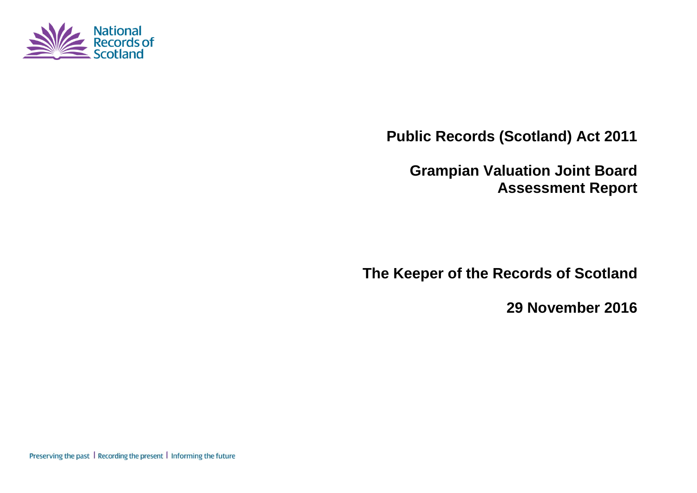

**Public Records (Scotland) Act 2011**

**Grampian Valuation Joint Board Assessment Report**

**The Keeper of the Records of Scotland**

**29 November 2016**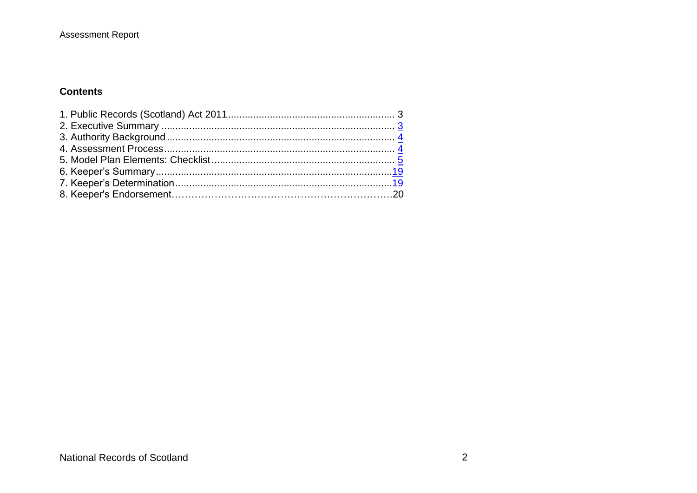#### **Assessment Report**

#### **Contents**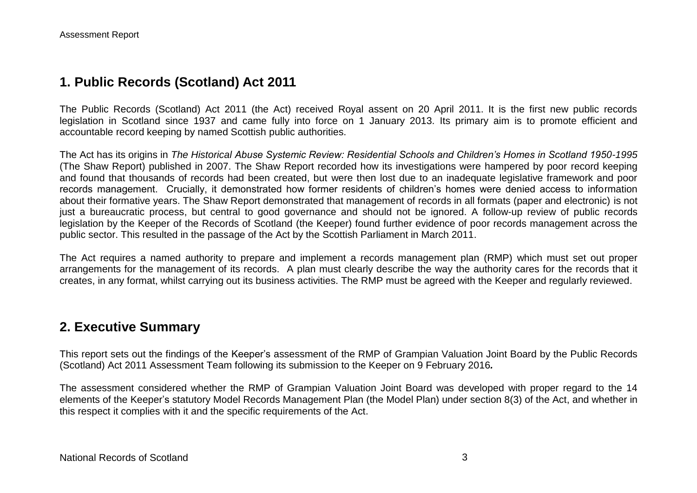## **1. Public Records (Scotland) Act 2011**

The Public Records (Scotland) Act 2011 (the Act) received Royal assent on 20 April 2011. It is the first new public records legislation in Scotland since 1937 and came fully into force on 1 January 2013. Its primary aim is to promote efficient and accountable record keeping by named Scottish public authorities.

The Act has its origins in *The Historical Abuse Systemic Review: Residential Schools and Children's Homes in Scotland 1950-1995* (The Shaw Report) published in 2007. The Shaw Report recorded how its investigations were hampered by poor record keeping and found that thousands of records had been created, but were then lost due to an inadequate legislative framework and poor records management. Crucially, it demonstrated how former residents of children's homes were denied access to information about their formative years. The Shaw Report demonstrated that management of records in all formats (paper and electronic) is not just a bureaucratic process, but central to good governance and should not be ignored. A follow-up review of public records legislation by the Keeper of the Records of Scotland (the Keeper) found further evidence of poor records management across the public sector. This resulted in the passage of the Act by the Scottish Parliament in March 2011.

The Act requires a named authority to prepare and implement a records management plan (RMP) which must set out proper arrangements for the management of its records. A plan must clearly describe the way the authority cares for the records that it creates, in any format, whilst carrying out its business activities. The RMP must be agreed with the Keeper and regularly reviewed.

#### **2. Executive Summary**

This report sets out the findings of the Keeper's assessment of the RMP of Grampian Valuation Joint Board by the Public Records (Scotland) Act 2011 Assessment Team following its submission to the Keeper on 9 February 2016*.*

The assessment considered whether the RMP of Grampian Valuation Joint Board was developed with proper regard to the 14 elements of the Keeper's statutory Model Records Management Plan (the Model Plan) under section 8(3) of the Act, and whether in this respect it complies with it and the specific requirements of the Act.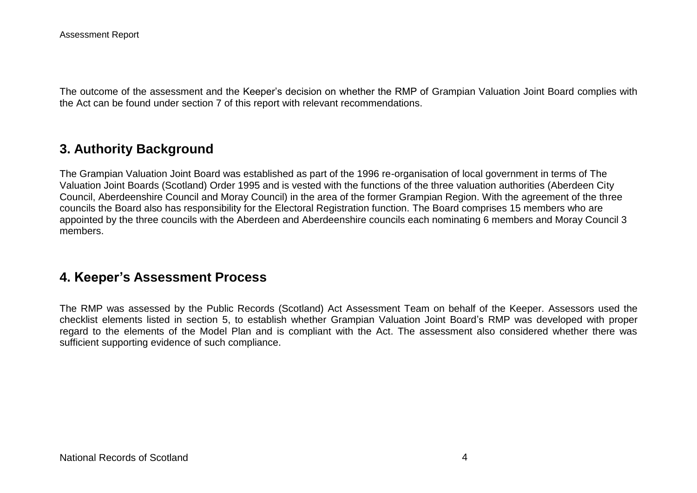The outcome of the assessment and the Keeper's decision on whether the RMP of Grampian Valuation Joint Board complies with the Act can be found under section 7 of this report with relevant recommendations.

## **3. Authority Background**

The Grampian Valuation Joint Board was established as part of the 1996 re-organisation of local government in terms of The Valuation Joint Boards (Scotland) Order 1995 and is vested with the functions of the three valuation authorities (Aberdeen City Council, Aberdeenshire Council and Moray Council) in the area of the former Grampian Region. With the agreement of the three councils the Board also has responsibility for the Electoral Registration function. The Board comprises 15 members who are appointed by the three councils with the Aberdeen and Aberdeenshire councils each nominating 6 members and Moray Council 3 members.

#### **4. Keeper's Assessment Process**

The RMP was assessed by the Public Records (Scotland) Act Assessment Team on behalf of the Keeper. Assessors used the checklist elements listed in section 5, to establish whether Grampian Valuation Joint Board's RMP was developed with proper regard to the elements of the Model Plan and is compliant with the Act. The assessment also considered whether there was sufficient supporting evidence of such compliance.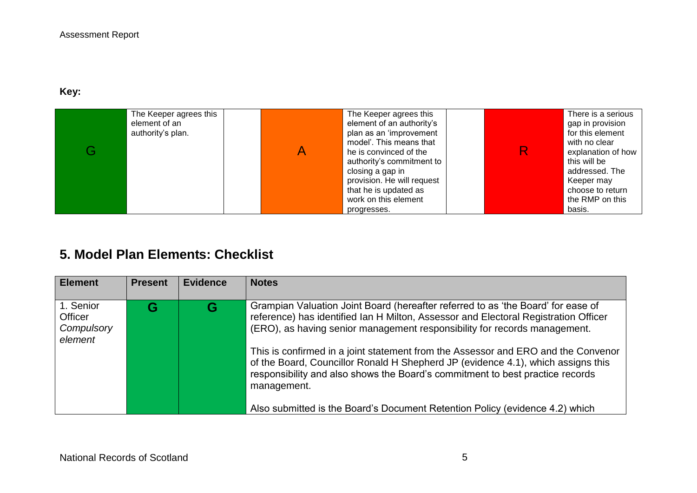### **Key:**

| The Keeper agrees this<br>element of an<br>authority's plan. | The Keeper agrees this<br>element of an authority's<br>plan as an 'improvement<br>model'. This means that<br>he is convinced of the<br>authority's commitment to<br>closing a gap in<br>provision. He will request<br>that he is updated as | R. | There is a serious<br>gap in provision<br>for this element<br>with no clear<br>explanation of how<br>this will be<br>addressed. The<br>Keeper may<br>choose to return |
|--------------------------------------------------------------|---------------------------------------------------------------------------------------------------------------------------------------------------------------------------------------------------------------------------------------------|----|-----------------------------------------------------------------------------------------------------------------------------------------------------------------------|
|                                                              | work on this element<br>progresses.                                                                                                                                                                                                         |    | the RMP on this<br>basis.                                                                                                                                             |

# **5. Model Plan Elements: Checklist**

| <b>Element</b>                                | <b>Present</b> | <b>Evidence</b> | <b>Notes</b>                                                                                                                                                                                                                                                                                                                                                                                                                                                                                                                                                                                                  |
|-----------------------------------------------|----------------|-----------------|---------------------------------------------------------------------------------------------------------------------------------------------------------------------------------------------------------------------------------------------------------------------------------------------------------------------------------------------------------------------------------------------------------------------------------------------------------------------------------------------------------------------------------------------------------------------------------------------------------------|
| 1. Senior<br>Officer<br>Compulsory<br>element | G              | G               | Grampian Valuation Joint Board (hereafter referred to as 'the Board' for ease of<br>reference) has identified Ian H Milton, Assessor and Electoral Registration Officer<br>(ERO), as having senior management responsibility for records management.<br>This is confirmed in a joint statement from the Assessor and ERO and the Convenor<br>of the Board, Councillor Ronald H Shepherd JP (evidence 4.1), which assigns this<br>responsibility and also shows the Board's commitment to best practice records<br>management.<br>Also submitted is the Board's Document Retention Policy (evidence 4.2) which |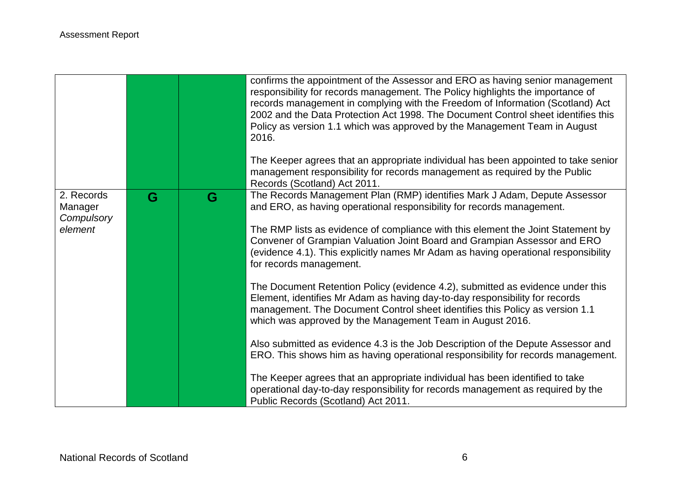|                                                |   |   | confirms the appointment of the Assessor and ERO as having senior management<br>responsibility for records management. The Policy highlights the importance of<br>records management in complying with the Freedom of Information (Scotland) Act<br>2002 and the Data Protection Act 1998. The Document Control sheet identifies this<br>Policy as version 1.1 which was approved by the Management Team in August<br>2016.<br>The Keeper agrees that an appropriate individual has been appointed to take senior<br>management responsibility for records management as required by the Public<br>Records (Scotland) Act 2011.                                                                                                                                                                                                                                                                                                                                                                                                                                                                                                     |
|------------------------------------------------|---|---|-------------------------------------------------------------------------------------------------------------------------------------------------------------------------------------------------------------------------------------------------------------------------------------------------------------------------------------------------------------------------------------------------------------------------------------------------------------------------------------------------------------------------------------------------------------------------------------------------------------------------------------------------------------------------------------------------------------------------------------------------------------------------------------------------------------------------------------------------------------------------------------------------------------------------------------------------------------------------------------------------------------------------------------------------------------------------------------------------------------------------------------|
| 2. Records<br>Manager<br>Compulsory<br>element | G | G | The Records Management Plan (RMP) identifies Mark J Adam, Depute Assessor<br>and ERO, as having operational responsibility for records management.<br>The RMP lists as evidence of compliance with this element the Joint Statement by<br>Convener of Grampian Valuation Joint Board and Grampian Assessor and ERO<br>(evidence 4.1). This explicitly names Mr Adam as having operational responsibility<br>for records management.<br>The Document Retention Policy (evidence 4.2), submitted as evidence under this<br>Element, identifies Mr Adam as having day-to-day responsibility for records<br>management. The Document Control sheet identifies this Policy as version 1.1<br>which was approved by the Management Team in August 2016.<br>Also submitted as evidence 4.3 is the Job Description of the Depute Assessor and<br>ERO. This shows him as having operational responsibility for records management.<br>The Keeper agrees that an appropriate individual has been identified to take<br>operational day-to-day responsibility for records management as required by the<br>Public Records (Scotland) Act 2011. |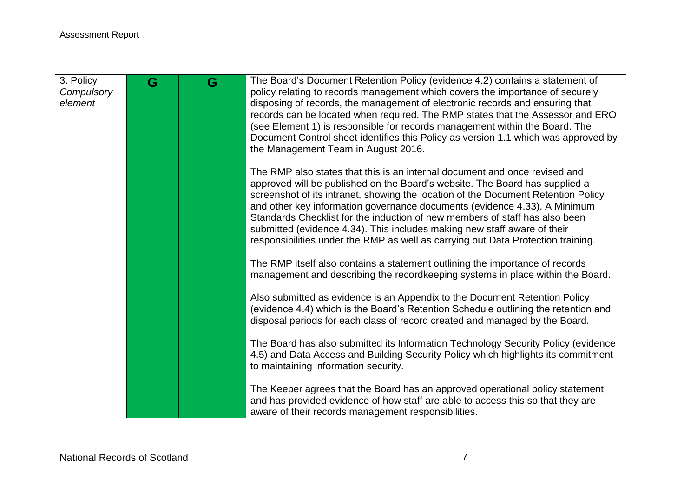| G | G | The Board's Document Retention Policy (evidence 4.2) contains a statement of<br>policy relating to records management which covers the importance of securely     |
|---|---|-------------------------------------------------------------------------------------------------------------------------------------------------------------------|
|   |   | disposing of records, the management of electronic records and ensuring that                                                                                      |
|   |   | records can be located when required. The RMP states that the Assessor and ERO                                                                                    |
|   |   | (see Element 1) is responsible for records management within the Board. The                                                                                       |
|   |   | Document Control sheet identifies this Policy as version 1.1 which was approved by<br>the Management Team in August 2016.                                         |
|   |   | The RMP also states that this is an internal document and once revised and                                                                                        |
|   |   | approved will be published on the Board's website. The Board has supplied a<br>screenshot of its intranet, showing the location of the Document Retention Policy  |
|   |   | and other key information governance documents (evidence 4.33). A Minimum                                                                                         |
|   |   | Standards Checklist for the induction of new members of staff has also been                                                                                       |
|   |   | submitted (evidence 4.34). This includes making new staff aware of their<br>responsibilities under the RMP as well as carrying out Data Protection training.      |
|   |   |                                                                                                                                                                   |
|   |   | The RMP itself also contains a statement outlining the importance of records<br>management and describing the recordkeeping systems in place within the Board.    |
|   |   |                                                                                                                                                                   |
|   |   | Also submitted as evidence is an Appendix to the Document Retention Policy                                                                                        |
|   |   | (evidence 4.4) which is the Board's Retention Schedule outlining the retention and<br>disposal periods for each class of record created and managed by the Board. |
|   |   |                                                                                                                                                                   |
|   |   | The Board has also submitted its Information Technology Security Policy (evidence                                                                                 |
|   |   | 4.5) and Data Access and Building Security Policy which highlights its commitment<br>to maintaining information security.                                         |
|   |   |                                                                                                                                                                   |
|   |   | The Keeper agrees that the Board has an approved operational policy statement                                                                                     |
|   |   | and has provided evidence of how staff are able to access this so that they are<br>aware of their records management responsibilities.                            |
|   |   |                                                                                                                                                                   |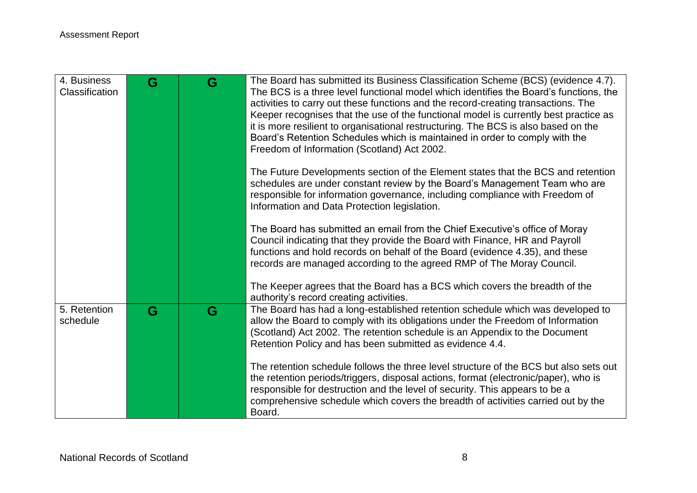| 4. Business<br>Classification | G | G | The Board has submitted its Business Classification Scheme (BCS) (evidence 4.7).<br>The BCS is a three level functional model which identifies the Board's functions, the<br>activities to carry out these functions and the record-creating transactions. The<br>Keeper recognises that the use of the functional model is currently best practice as<br>it is more resilient to organisational restructuring. The BCS is also based on the<br>Board's Retention Schedules which is maintained in order to comply with the<br>Freedom of Information (Scotland) Act 2002. |
|-------------------------------|---|---|----------------------------------------------------------------------------------------------------------------------------------------------------------------------------------------------------------------------------------------------------------------------------------------------------------------------------------------------------------------------------------------------------------------------------------------------------------------------------------------------------------------------------------------------------------------------------|
|                               |   |   | The Future Developments section of the Element states that the BCS and retention<br>schedules are under constant review by the Board's Management Team who are<br>responsible for information governance, including compliance with Freedom of<br>Information and Data Protection legislation.                                                                                                                                                                                                                                                                             |
|                               |   |   | The Board has submitted an email from the Chief Executive's office of Moray<br>Council indicating that they provide the Board with Finance, HR and Payroll<br>functions and hold records on behalf of the Board (evidence 4.35), and these<br>records are managed according to the agreed RMP of The Moray Council.                                                                                                                                                                                                                                                        |
|                               |   |   | The Keeper agrees that the Board has a BCS which covers the breadth of the<br>authority's record creating activities.                                                                                                                                                                                                                                                                                                                                                                                                                                                      |
| 5. Retention<br>schedule      | G | G | The Board has had a long-established retention schedule which was developed to<br>allow the Board to comply with its obligations under the Freedom of Information<br>(Scotland) Act 2002. The retention schedule is an Appendix to the Document<br>Retention Policy and has been submitted as evidence 4.4.                                                                                                                                                                                                                                                                |
|                               |   |   | The retention schedule follows the three level structure of the BCS but also sets out<br>the retention periods/triggers, disposal actions, format (electronic/paper), who is<br>responsible for destruction and the level of security. This appears to be a<br>comprehensive schedule which covers the breadth of activities carried out by the<br>Board.                                                                                                                                                                                                                  |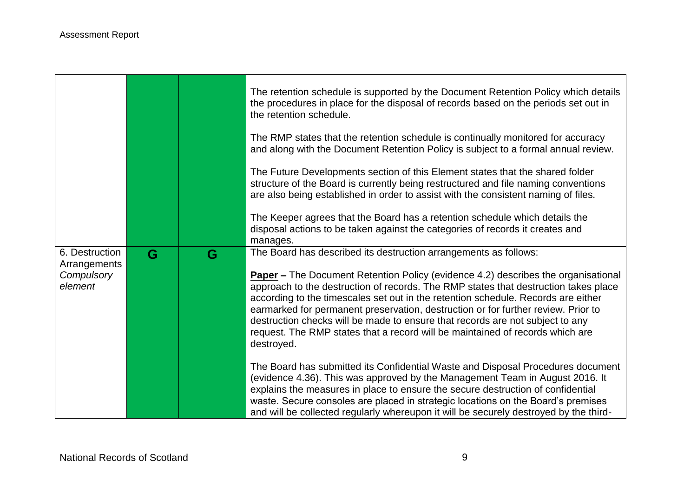and the state of the state of the state of the state of the state of the

**Contract** 

 $\blacksquare$ 

|                                |   |   | The retention schedule is supported by the Document Retention Policy which details<br>the procedures in place for the disposal of records based on the periods set out in<br>the retention schedule.                                                                                                                                                                                                                                       |
|--------------------------------|---|---|--------------------------------------------------------------------------------------------------------------------------------------------------------------------------------------------------------------------------------------------------------------------------------------------------------------------------------------------------------------------------------------------------------------------------------------------|
|                                |   |   | The RMP states that the retention schedule is continually monitored for accuracy<br>and along with the Document Retention Policy is subject to a formal annual review.                                                                                                                                                                                                                                                                     |
|                                |   |   | The Future Developments section of this Element states that the shared folder<br>structure of the Board is currently being restructured and file naming conventions<br>are also being established in order to assist with the consistent naming of files.                                                                                                                                                                                  |
|                                |   |   | The Keeper agrees that the Board has a retention schedule which details the<br>disposal actions to be taken against the categories of records it creates and<br>manages.                                                                                                                                                                                                                                                                   |
| 6. Destruction<br>Arrangements | G | G | The Board has described its destruction arrangements as follows:                                                                                                                                                                                                                                                                                                                                                                           |
| Compulsory<br>element          |   |   | <b>Paper –</b> The Document Retention Policy (evidence 4.2) describes the organisational<br>approach to the destruction of records. The RMP states that destruction takes place<br>according to the timescales set out in the retention schedule. Records are either<br>earmarked for permanent preservation, destruction or for further review. Prior to<br>destruction checks will be made to ensure that records are not subject to any |
|                                |   |   | request. The RMP states that a record will be maintained of records which are<br>destroyed.                                                                                                                                                                                                                                                                                                                                                |

π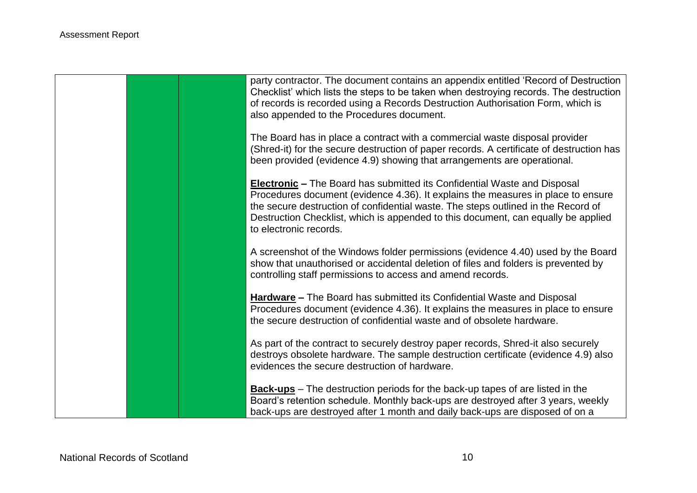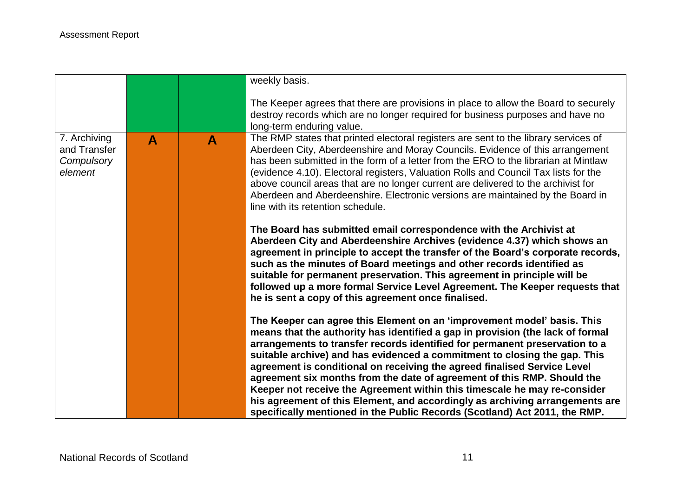|                                                       |   |   | weekly basis.                                                                                                                                                                                                                                                                                                                                                                                                                                                                                                                                                  |
|-------------------------------------------------------|---|---|----------------------------------------------------------------------------------------------------------------------------------------------------------------------------------------------------------------------------------------------------------------------------------------------------------------------------------------------------------------------------------------------------------------------------------------------------------------------------------------------------------------------------------------------------------------|
|                                                       |   |   | The Keeper agrees that there are provisions in place to allow the Board to securely<br>destroy records which are no longer required for business purposes and have no<br>long-term enduring value.                                                                                                                                                                                                                                                                                                                                                             |
| 7. Archiving<br>and Transfer<br>Compulsory<br>element | A | A | The RMP states that printed electoral registers are sent to the library services of<br>Aberdeen City, Aberdeenshire and Moray Councils. Evidence of this arrangement<br>has been submitted in the form of a letter from the ERO to the librarian at Mintlaw<br>(evidence 4.10). Electoral registers, Valuation Rolls and Council Tax lists for the<br>above council areas that are no longer current are delivered to the archivist for<br>Aberdeen and Aberdeenshire. Electronic versions are maintained by the Board in<br>line with its retention schedule. |
|                                                       |   |   | The Board has submitted email correspondence with the Archivist at<br>Aberdeen City and Aberdeenshire Archives (evidence 4.37) which shows an<br>agreement in principle to accept the transfer of the Board's corporate records,<br>such as the minutes of Board meetings and other records identified as<br>suitable for permanent preservation. This agreement in principle will be<br>followed up a more formal Service Level Agreement. The Keeper requests that<br>he is sent a copy of this agreement once finalised.                                    |
|                                                       |   |   | The Keeper can agree this Element on an 'improvement model' basis. This<br>means that the authority has identified a gap in provision (the lack of formal<br>arrangements to transfer records identified for permanent preservation to a<br>suitable archive) and has evidenced a commitment to closing the gap. This<br>agreement is conditional on receiving the agreed finalised Service Level<br>agreement six months from the date of agreement of this RMP. Should the<br>Keeper not receive the Agreement within this timescale he may re-consider      |
|                                                       |   |   | his agreement of this Element, and accordingly as archiving arrangements are<br>specifically mentioned in the Public Records (Scotland) Act 2011, the RMP.                                                                                                                                                                                                                                                                                                                                                                                                     |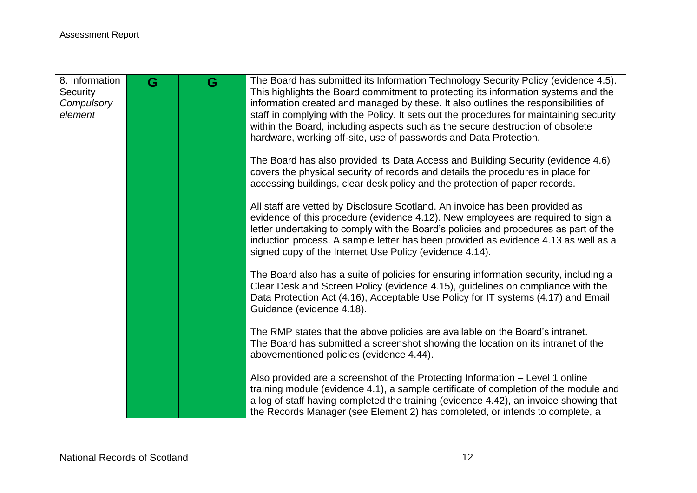| 8. Information<br>Security<br>Compulsory<br>element | G | G | The Board has submitted its Information Technology Security Policy (evidence 4.5).<br>This highlights the Board commitment to protecting its information systems and the<br>information created and managed by these. It also outlines the responsibilities of<br>staff in complying with the Policy. It sets out the procedures for maintaining security                                                 |
|-----------------------------------------------------|---|---|-----------------------------------------------------------------------------------------------------------------------------------------------------------------------------------------------------------------------------------------------------------------------------------------------------------------------------------------------------------------------------------------------------------|
|                                                     |   |   | within the Board, including aspects such as the secure destruction of obsolete<br>hardware, working off-site, use of passwords and Data Protection.                                                                                                                                                                                                                                                       |
|                                                     |   |   | The Board has also provided its Data Access and Building Security (evidence 4.6)<br>covers the physical security of records and details the procedures in place for<br>accessing buildings, clear desk policy and the protection of paper records.                                                                                                                                                        |
|                                                     |   |   | All staff are vetted by Disclosure Scotland. An invoice has been provided as<br>evidence of this procedure (evidence 4.12). New employees are required to sign a<br>letter undertaking to comply with the Board's policies and procedures as part of the<br>induction process. A sample letter has been provided as evidence 4.13 as well as a<br>signed copy of the Internet Use Policy (evidence 4.14). |
|                                                     |   |   | The Board also has a suite of policies for ensuring information security, including a<br>Clear Desk and Screen Policy (evidence 4.15), guidelines on compliance with the<br>Data Protection Act (4.16), Acceptable Use Policy for IT systems (4.17) and Email<br>Guidance (evidence 4.18).                                                                                                                |
|                                                     |   |   | The RMP states that the above policies are available on the Board's intranet.<br>The Board has submitted a screenshot showing the location on its intranet of the<br>abovementioned policies (evidence 4.44).                                                                                                                                                                                             |
|                                                     |   |   | Also provided are a screenshot of the Protecting Information - Level 1 online<br>training module (evidence 4.1), a sample certificate of completion of the module and<br>a log of staff having completed the training (evidence 4.42), an invoice showing that<br>the Records Manager (see Element 2) has completed, or intends to complete, a                                                            |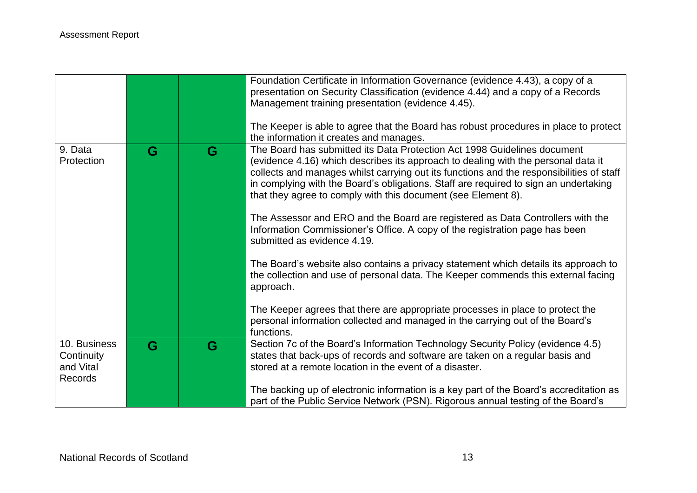|                         |   |   | Foundation Certificate in Information Governance (evidence 4.43), a copy of a<br>presentation on Security Classification (evidence 4.44) and a copy of a Records<br>Management training presentation (evidence 4.45).<br>The Keeper is able to agree that the Board has robust procedures in place to protect                                                                                                      |
|-------------------------|---|---|--------------------------------------------------------------------------------------------------------------------------------------------------------------------------------------------------------------------------------------------------------------------------------------------------------------------------------------------------------------------------------------------------------------------|
|                         |   |   | the information it creates and manages.                                                                                                                                                                                                                                                                                                                                                                            |
| 9. Data<br>Protection   | G | G | The Board has submitted its Data Protection Act 1998 Guidelines document<br>(evidence 4.16) which describes its approach to dealing with the personal data it<br>collects and manages whilst carrying out its functions and the responsibilities of staff<br>in complying with the Board's obligations. Staff are required to sign an undertaking<br>that they agree to comply with this document (see Element 8). |
|                         |   |   | The Assessor and ERO and the Board are registered as Data Controllers with the<br>Information Commissioner's Office. A copy of the registration page has been<br>submitted as evidence 4.19.                                                                                                                                                                                                                       |
|                         |   |   | The Board's website also contains a privacy statement which details its approach to<br>the collection and use of personal data. The Keeper commends this external facing<br>approach.                                                                                                                                                                                                                              |
|                         |   |   | The Keeper agrees that there are appropriate processes in place to protect the<br>personal information collected and managed in the carrying out of the Board's<br>functions.                                                                                                                                                                                                                                      |
| 10. Business            | G | G | Section 7c of the Board's Information Technology Security Policy (evidence 4.5)                                                                                                                                                                                                                                                                                                                                    |
| Continuity<br>and Vital |   |   | states that back-ups of records and software are taken on a regular basis and<br>stored at a remote location in the event of a disaster.                                                                                                                                                                                                                                                                           |
| Records                 |   |   |                                                                                                                                                                                                                                                                                                                                                                                                                    |
|                         |   |   | The backing up of electronic information is a key part of the Board's accreditation as<br>part of the Public Service Network (PSN). Rigorous annual testing of the Board's                                                                                                                                                                                                                                         |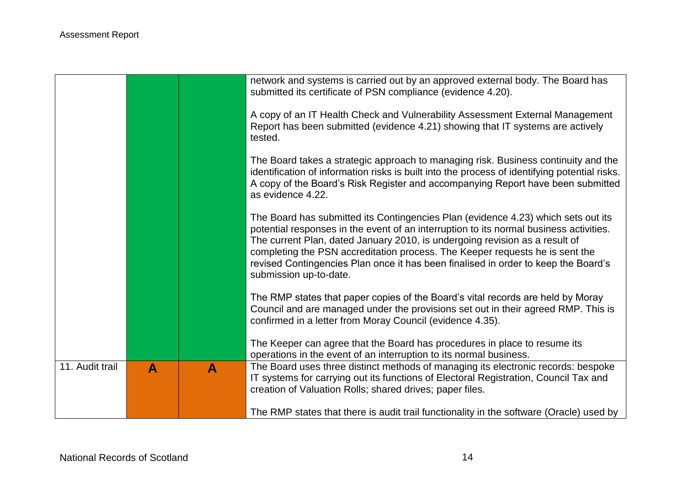|                 |   |   | network and systems is carried out by an approved external body. The Board has<br>submitted its certificate of PSN compliance (evidence 4.20).                                                                                                                                                                                                                                                                                                             |
|-----------------|---|---|------------------------------------------------------------------------------------------------------------------------------------------------------------------------------------------------------------------------------------------------------------------------------------------------------------------------------------------------------------------------------------------------------------------------------------------------------------|
|                 |   |   | A copy of an IT Health Check and Vulnerability Assessment External Management<br>Report has been submitted (evidence 4.21) showing that IT systems are actively<br>tested.                                                                                                                                                                                                                                                                                 |
|                 |   |   | The Board takes a strategic approach to managing risk. Business continuity and the<br>identification of information risks is built into the process of identifying potential risks.<br>A copy of the Board's Risk Register and accompanying Report have been submitted<br>as evidence 4.22.                                                                                                                                                                |
|                 |   |   | The Board has submitted its Contingencies Plan (evidence 4.23) which sets out its<br>potential responses in the event of an interruption to its normal business activities.<br>The current Plan, dated January 2010, is undergoing revision as a result of<br>completing the PSN accreditation process. The Keeper requests he is sent the<br>revised Contingencies Plan once it has been finalised in order to keep the Board's<br>submission up-to-date. |
|                 |   |   | The RMP states that paper copies of the Board's vital records are held by Moray<br>Council and are managed under the provisions set out in their agreed RMP. This is<br>confirmed in a letter from Moray Council (evidence 4.35).                                                                                                                                                                                                                          |
|                 |   |   | The Keeper can agree that the Board has procedures in place to resume its<br>operations in the event of an interruption to its normal business.                                                                                                                                                                                                                                                                                                            |
| 11. Audit trail | A | A | The Board uses three distinct methods of managing its electronic records: bespoke<br>IT systems for carrying out its functions of Electoral Registration, Council Tax and<br>creation of Valuation Rolls; shared drives; paper files.                                                                                                                                                                                                                      |
|                 |   |   | The RMP states that there is audit trail functionality in the software (Oracle) used by                                                                                                                                                                                                                                                                                                                                                                    |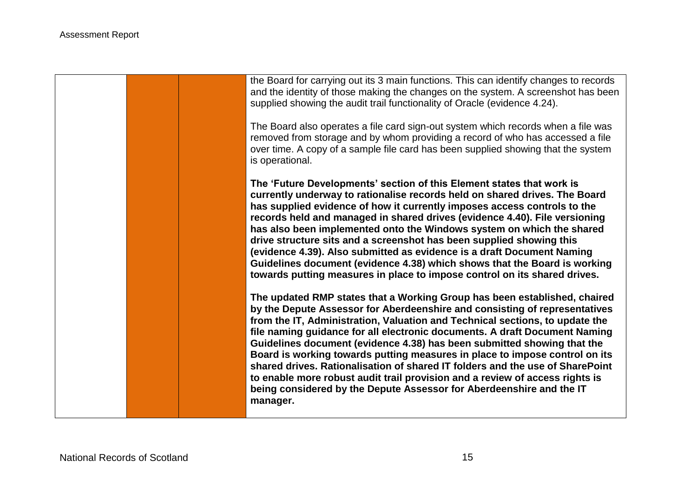the Board for carrying out its 3 main functions. This can identify changes to records and the identity of those making the changes on the system. A screenshot has been supplied showing the audit trail functionality of Oracle (evidence 4.24). The Board also operates a file card sign-out system which records when a file was removed from storage and by whom providing a record of who has accessed a file over time. A copy of a sample file card has been supplied showing that the system is operational. **The 'Future Developments' section of this Element states that work is currently underway to rationalise records held on shared drives. The Board has supplied evidence of how it currently imposes access controls to the records held and managed in shared drives (evidence 4.40). File versioning has also been implemented onto the Windows system on which the shared drive structure sits and a screenshot has been supplied showing this (evidence 4.39). Also submitted as evidence is a draft Document Naming Guidelines document (evidence 4.38) which shows that the Board is working towards putting measures in place to impose control on its shared drives. The updated RMP states that a Working Group has been established, chaired by the Depute Assessor for Aberdeenshire and consisting of representatives from the IT, Administration, Valuation and Technical sections, to update the file naming guidance for all electronic documents. A draft Document Naming Guidelines document (evidence 4.38) has been submitted showing that the Board is working towards putting measures in place to impose control on its shared drives. Rationalisation of shared IT folders and the use of SharePoint to enable more robust audit trail provision and a review of access rights is being considered by the Depute Assessor for Aberdeenshire and the IT manager.**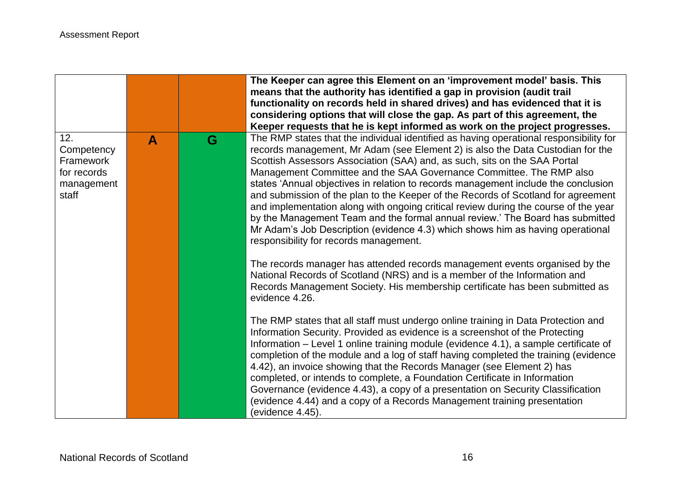|                                                                      |              |   | The Keeper can agree this Element on an 'improvement model' basis. This<br>means that the authority has identified a gap in provision (audit trail<br>functionality on records held in shared drives) and has evidenced that it is<br>considering options that will close the gap. As part of this agreement, the                                                                                                                                                                                                                                                                                                                                                                                                                                                                                                                                                                          |
|----------------------------------------------------------------------|--------------|---|--------------------------------------------------------------------------------------------------------------------------------------------------------------------------------------------------------------------------------------------------------------------------------------------------------------------------------------------------------------------------------------------------------------------------------------------------------------------------------------------------------------------------------------------------------------------------------------------------------------------------------------------------------------------------------------------------------------------------------------------------------------------------------------------------------------------------------------------------------------------------------------------|
| 12.<br>Competency<br>Framework<br>for records<br>management<br>staff | $\mathbf{A}$ | G | Keeper requests that he is kept informed as work on the project progresses.<br>The RMP states that the individual identified as having operational responsibility for<br>records management, Mr Adam (see Element 2) is also the Data Custodian for the<br>Scottish Assessors Association (SAA) and, as such, sits on the SAA Portal<br>Management Committee and the SAA Governance Committee. The RMP also<br>states 'Annual objectives in relation to records management include the conclusion<br>and submission of the plan to the Keeper of the Records of Scotland for agreement<br>and implementation along with ongoing critical review during the course of the year<br>by the Management Team and the formal annual review.' The Board has submitted<br>Mr Adam's Job Description (evidence 4.3) which shows him as having operational<br>responsibility for records management. |
|                                                                      |              |   | The records manager has attended records management events organised by the<br>National Records of Scotland (NRS) and is a member of the Information and<br>Records Management Society. His membership certificate has been submitted as<br>evidence 4.26.                                                                                                                                                                                                                                                                                                                                                                                                                                                                                                                                                                                                                                 |
|                                                                      |              |   | The RMP states that all staff must undergo online training in Data Protection and<br>Information Security. Provided as evidence is a screenshot of the Protecting<br>Information – Level 1 online training module (evidence 4.1), a sample certificate of<br>completion of the module and a log of staff having completed the training (evidence<br>4.42), an invoice showing that the Records Manager (see Element 2) has<br>completed, or intends to complete, a Foundation Certificate in Information<br>Governance (evidence 4.43), a copy of a presentation on Security Classification<br>(evidence 4.44) and a copy of a Records Management training presentation<br>(evidence 4.45).                                                                                                                                                                                                |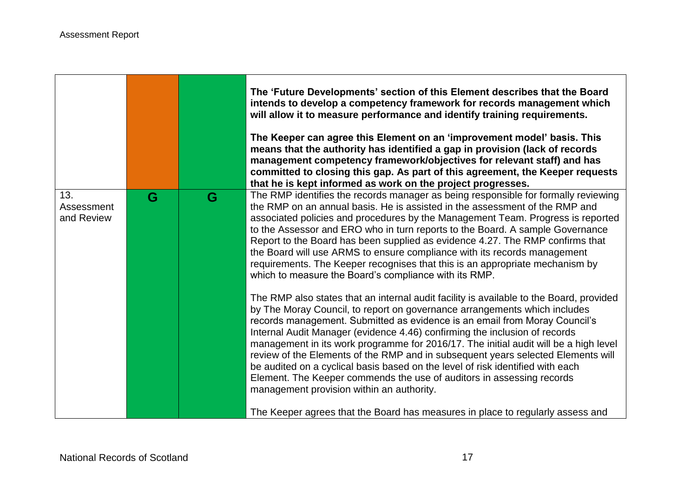|                                 |   |   | The 'Future Developments' section of this Element describes that the Board<br>intends to develop a competency framework for records management which<br>will allow it to measure performance and identify training requirements.<br>The Keeper can agree this Element on an 'improvement model' basis. This<br>means that the authority has identified a gap in provision (lack of records<br>management competency framework/objectives for relevant staff) and has<br>committed to closing this gap. As part of this agreement, the Keeper requests<br>that he is kept informed as work on the project progresses.                                                                                                                                                                                   |
|---------------------------------|---|---|--------------------------------------------------------------------------------------------------------------------------------------------------------------------------------------------------------------------------------------------------------------------------------------------------------------------------------------------------------------------------------------------------------------------------------------------------------------------------------------------------------------------------------------------------------------------------------------------------------------------------------------------------------------------------------------------------------------------------------------------------------------------------------------------------------|
| 13.<br>Assessment<br>and Review | G | G | The RMP identifies the records manager as being responsible for formally reviewing<br>the RMP on an annual basis. He is assisted in the assessment of the RMP and<br>associated policies and procedures by the Management Team. Progress is reported<br>to the Assessor and ERO who in turn reports to the Board. A sample Governance<br>Report to the Board has been supplied as evidence 4.27. The RMP confirms that<br>the Board will use ARMS to ensure compliance with its records management<br>requirements. The Keeper recognises that this is an appropriate mechanism by<br>which to measure the Board's compliance with its RMP.                                                                                                                                                            |
|                                 |   |   | The RMP also states that an internal audit facility is available to the Board, provided<br>by The Moray Council, to report on governance arrangements which includes<br>records management. Submitted as evidence is an email from Moray Council's<br>Internal Audit Manager (evidence 4.46) confirming the inclusion of records<br>management in its work programme for 2016/17. The initial audit will be a high level<br>review of the Elements of the RMP and in subsequent years selected Elements will<br>be audited on a cyclical basis based on the level of risk identified with each<br>Element. The Keeper commends the use of auditors in assessing records<br>management provision within an authority.<br>The Keeper agrees that the Board has measures in place to regularly assess and |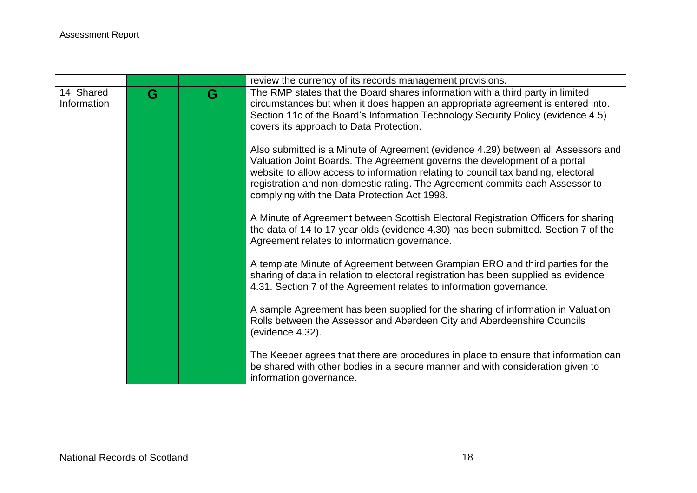|             |   |   | review the currency of its records management provisions.                                                                                                  |
|-------------|---|---|------------------------------------------------------------------------------------------------------------------------------------------------------------|
| 14. Shared  | G | G | The RMP states that the Board shares information with a third party in limited                                                                             |
| Information |   |   | circumstances but when it does happen an appropriate agreement is entered into.                                                                            |
|             |   |   | Section 11c of the Board's Information Technology Security Policy (evidence 4.5)                                                                           |
|             |   |   | covers its approach to Data Protection.                                                                                                                    |
|             |   |   | Also submitted is a Minute of Agreement (evidence 4.29) between all Assessors and                                                                          |
|             |   |   | Valuation Joint Boards. The Agreement governs the development of a portal                                                                                  |
|             |   |   | website to allow access to information relating to council tax banding, electoral                                                                          |
|             |   |   | registration and non-domestic rating. The Agreement commits each Assessor to                                                                               |
|             |   |   | complying with the Data Protection Act 1998.                                                                                                               |
|             |   |   | A Minute of Agreement between Scottish Electoral Registration Officers for sharing                                                                         |
|             |   |   | the data of 14 to 17 year olds (evidence 4.30) has been submitted. Section 7 of the                                                                        |
|             |   |   | Agreement relates to information governance.                                                                                                               |
|             |   |   |                                                                                                                                                            |
|             |   |   | A template Minute of Agreement between Grampian ERO and third parties for the                                                                              |
|             |   |   | sharing of data in relation to electoral registration has been supplied as evidence<br>4.31. Section 7 of the Agreement relates to information governance. |
|             |   |   |                                                                                                                                                            |
|             |   |   | A sample Agreement has been supplied for the sharing of information in Valuation                                                                           |
|             |   |   | Rolls between the Assessor and Aberdeen City and Aberdeenshire Councils                                                                                    |
|             |   |   | (evidence 4.32).                                                                                                                                           |
|             |   |   | The Keeper agrees that there are procedures in place to ensure that information can                                                                        |
|             |   |   | be shared with other bodies in a secure manner and with consideration given to                                                                             |
|             |   |   | information governance.                                                                                                                                    |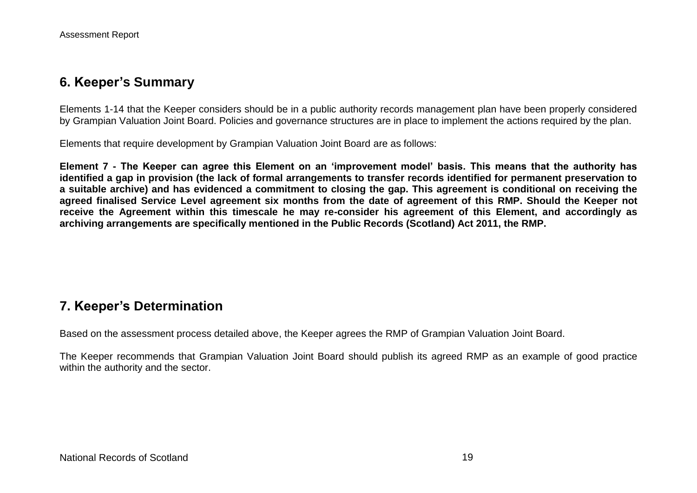## **6. Keeper's Summary**

Elements 1-14 that the Keeper considers should be in a public authority records management plan have been properly considered by Grampian Valuation Joint Board. Policies and governance structures are in place to implement the actions required by the plan.

Elements that require development by Grampian Valuation Joint Board are as follows:

**Element 7 - The Keeper can agree this Element on an 'improvement model' basis. This means that the authority has identified a gap in provision (the lack of formal arrangements to transfer records identified for permanent preservation to a suitable archive) and has evidenced a commitment to closing the gap. This agreement is conditional on receiving the agreed finalised Service Level agreement six months from the date of agreement of this RMP. Should the Keeper not receive the Agreement within this timescale he may re-consider his agreement of this Element, and accordingly as archiving arrangements are specifically mentioned in the Public Records (Scotland) Act 2011, the RMP.** 

# **7. Keeper's Determination**

Based on the assessment process detailed above, the Keeper agrees the RMP of Grampian Valuation Joint Board.

The Keeper recommends that Grampian Valuation Joint Board should publish its agreed RMP as an example of good practice within the authority and the sector.